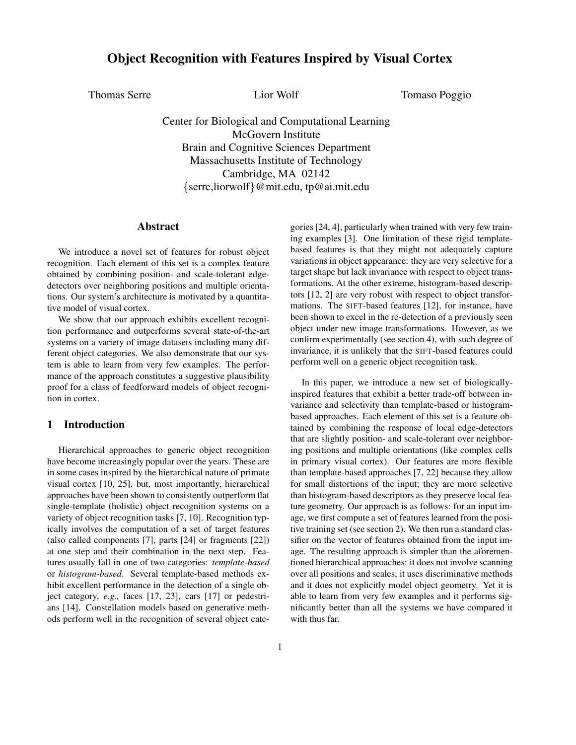# **Object Recognition with Features Inspired by Visual Cortex**

Thomas Serre Lior Wolf Tomaso Poggio

Center for Biological and Computational Learning McGovern Institute Brain and Cognitive Sciences Department Massachusetts Institute of Technology Cambridge, MA 02142 *{*serre,liorwolf*}*@mit.edu, tp@ai.mit.edu

### **Abstract**

We introduce a novel set of features for robust object recognition. Each element of this set is a complex feature obtained by combining position- and scale-tolerant edgedetectors over neighboring positions and multiple orientations. Our system's architecture is motivated by a quantitative model of visual cortex.

We show that our approach exhibits excellent recognition performance and outperforms several state-of-the-art systems on a variety of image datasets including many different object categories. We also demonstrate that our system is able to learn from very few examples. The performance of the approach constitutes a suggestive plausibility proof for a class of feedforward models of object recognition in cortex.

# **1 Introduction**

Hierarchical approaches to generic object recognition have become increasingly popular over the years. These are in some cases inspired by the hierarchical nature of primate visual cortex [10, 25], but, most importantly, hierarchical approaches have been shown to consistently outperform flat single-template (holistic) object recognition systems on a variety of object recognition tasks [7, 10]. Recognition typically involves the computation of a set of target features (also called components [7], parts [24] or fragments [22]) at one step and their combination in the next step. Features usually fall in one of two categories: *template-based* or *histogram-based*. Several template-based methods exhibit excellent performance in the detection of a single object category, *e.g.,* faces [17, 23], cars [17] or pedestrians [14]. Constellation models based on generative methods perform well in the recognition of several object categories [24, 4], particularly when trained with very few training examples [3]. One limitation of these rigid templatebased features is that they might not adequately capture variations in object appearance: they are very selective for a target shape but lack invariance with respect to object transformations. At the other extreme, histogram-based descriptors [12, 2] are very robust with respect to object transformations. The SIFT-based features [12], for instance, have been shown to excel in the re-detection of a previously seen object under new image transformations. However, as we confirm experimentally (see section 4), with such degree of invariance, it is unlikely that the SIFT-based features could perform well on a generic object recognition task.

In this paper, we introduce a new set of biologicallyinspired features that exhibit a better trade-off between invariance and selectivity than template-based or histogrambased approaches. Each element of this set is a feature obtained by combining the response of local edge-detectors that are slightly position- and scale-tolerant over neighboring positions and multiple orientations (like complex cells in primary visual cortex). Our features are more flexible than template-based approaches [7, 22] because they allow for small distortions of the input; they are more selective than histogram-based descriptors as they preserve local feature geometry. Our approach is as follows: for an input image, we first compute a set of features learned from the positive training set (see section 2). We then run a standard classifier on the vector of features obtained from the input image. The resulting approach is simpler than the aforementioned hierarchical approaches: it does not involve scanning over all positions and scales, it uses discriminative methods and it does not explicitly model object geometry. Yet it is able to learn from very few examples and it performs significantly better than all the systems we have compared it with thus far.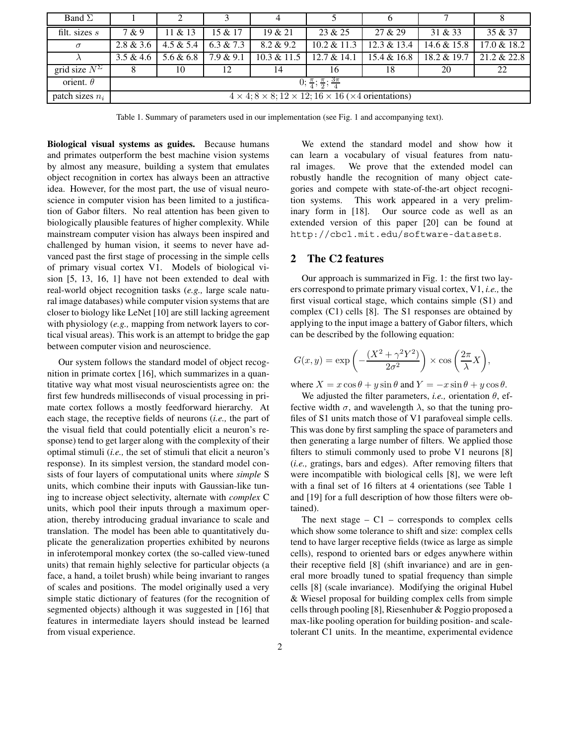| Band $\Sigma$          |                                                                                          |           |           |                |                |             |                |             |  |  |
|------------------------|------------------------------------------------------------------------------------------|-----------|-----------|----------------|----------------|-------------|----------------|-------------|--|--|
| filt. sizes $s$        | 7 & 9                                                                                    | 11 & 213  | 15 & 17   | 19 & 21        | 23 & 25        | 27 & 29     | 31 & 33        | 35 & 37     |  |  |
| $\sigma$               | 2.8 & 3.6                                                                                | 4.5 & 5.4 | 6.3 & 7.3 | $8.2 \& 9.2$   | $10.2 \& 11.3$ | 12.3 & 13.4 | $14.6 \& 15.8$ | 17.0 & 18.2 |  |  |
|                        | 3.5 & 4.6                                                                                | 5.6 & 6.8 | 7.9 & 9.1 | $10.3 \& 11.5$ | 12.7 & 14.1    | 15.4 & 16.8 | 18.2 & 19.7    | 21.2 & 22.8 |  |  |
| grid size $N^{\Sigma}$ |                                                                                          | 10        | 12        | 14             | 16             | 18          | 20             | 22          |  |  |
| orient. $\theta$       | $0; \frac{\pi}{4}; \frac{\pi}{2}; \frac{3\pi}{4}$                                        |           |           |                |                |             |                |             |  |  |
| patch sizes $n_i$      | $4 \times 4$ ; $8 \times 8$ ; $12 \times 12$ ; $16 \times 16$ ( $\times 4$ orientations) |           |           |                |                |             |                |             |  |  |

Table 1. Summary of parameters used in our implementation (see Fig. 1 and accompanying text).

**Biological visual systems as guides.** Because humans and primates outperform the best machine vision systems by almost any measure, building a system that emulates object recognition in cortex has always been an attractive idea. However, for the most part, the use of visual neuroscience in computer vision has been limited to a justification of Gabor filters. No real attention has been given to biologically plausible features of higher complexity. While mainstream computer vision has always been inspired and challenged by human vision, it seems to never have advanced past the first stage of processing in the simple cells of primary visual cortex V1. Models of biological vision [5, 13, 16, 1] have not been extended to deal with real-world object recognition tasks (*e.g.,* large scale natural image databases) while computer vision systems that are closer to biology like LeNet [10] are still lacking agreement with physiology (*e.g.,* mapping from network layers to cortical visual areas). This work is an attempt to bridge the gap between computer vision and neuroscience.

Our system follows the standard model of object recognition in primate cortex [16], which summarizes in a quantitative way what most visual neuroscientists agree on: the first few hundreds milliseconds of visual processing in primate cortex follows a mostly feedforward hierarchy. At each stage, the receptive fields of neurons (*i.e.,* the part of the visual field that could potentially elicit a neuron's response) tend to get larger along with the complexity of their optimal stimuli (*i.e.,* the set of stimuli that elicit a neuron's response). In its simplest version, the standard model consists of four layers of computational units where *simple* S units, which combine their inputs with Gaussian-like tuning to increase object selectivity, alternate with *complex* C units, which pool their inputs through a maximum operation, thereby introducing gradual invariance to scale and translation. The model has been able to quantitatively duplicate the generalization properties exhibited by neurons in inferotemporal monkey cortex (the so-called view-tuned units) that remain highly selective for particular objects (a face, a hand, a toilet brush) while being invariant to ranges of scales and positions. The model originally used a very simple static dictionary of features (for the recognition of segmented objects) although it was suggested in [16] that features in intermediate layers should instead be learned from visual experience.

We extend the standard model and show how it can learn a vocabulary of visual features from natural images. We prove that the extended model can robustly handle the recognition of many object categories and compete with state-of-the-art object recognition systems. This work appeared in a very preliminary form in [18]. Our source code as well as an extended version of this paper [20] can be found at http://cbcl.mit.edu/software-datasets.

## **2 The C2 features**

Our approach is summarized in Fig. 1: the first two layers correspond to primate primary visual cortex, V1, *i.e.,* the first visual cortical stage, which contains simple (S1) and complex (C1) cells [8]. The S1 responses are obtained by applying to the input image a battery of Gabor filters, which can be described by the following equation:

$$
G(x,y) = \exp\left(-\frac{(X^2 + \gamma^2 Y^2)}{2\sigma^2}\right) \times \cos\left(\frac{2\pi}{\lambda}X\right),\,
$$

where  $X = x \cos \theta + y \sin \theta$  and  $Y = -x \sin \theta + y \cos \theta$ .

We adjusted the filter parameters, *i.e.*, orientation  $\theta$ , effective width  $\sigma$ , and wavelength  $\lambda$ , so that the tuning profiles of S1 units match those of V1 parafoveal simple cells. This was done by first sampling the space of parameters and then generating a large number of filters. We applied those filters to stimuli commonly used to probe V1 neurons [8] (*i.e.,* gratings, bars and edges). After removing filters that were incompatible with biological cells [8], we were left with a final set of 16 filters at 4 orientations (see Table 1 and [19] for a full description of how those filters were obtained).

The next stage  $- C1 -$  corresponds to complex cells which show some tolerance to shift and size: complex cells tend to have larger receptive fields (twice as large as simple cells), respond to oriented bars or edges anywhere within their receptive field [8] (shift invariance) and are in general more broadly tuned to spatial frequency than simple cells [8] (scale invariance). Modifying the original Hubel & Wiesel proposal for building complex cells from simple cells through pooling [8], Riesenhuber & Poggio proposed a max-like pooling operation for building position- and scaletolerant C1 units. In the meantime, experimental evidence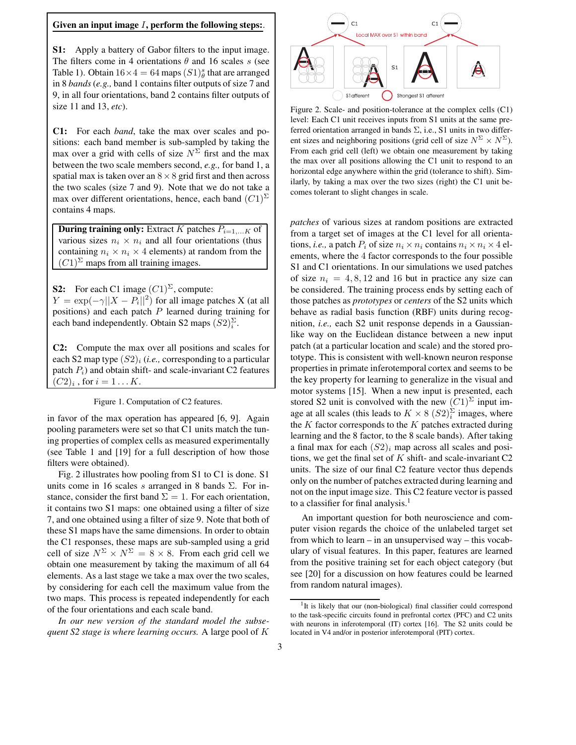#### **Given an input image** I**, perform the following steps:**.

**S1:** Apply a battery of Gabor filters to the input image. The filters come in 4 orientations  $\theta$  and 16 scales s (see Table 1). Obtain  $16 \times 4 = 64$  maps  $(S1)_{\theta}^{s}$  that are arranged in 8 *bands*(*e.g.,* band 1 contains filter outputs of size 7 and 9, in all four orientations, band 2 contains filter outputs of size 11 and 13, *etc*).

**C1:** For each *band*, take the max over scales and positions: each band member is sub-sampled by taking the max over a grid with cells of size  $N^{\Sigma}$  first and the max between the two scale members second, *e.g.,* for band 1, a spatial max is taken over an 8*×*8 grid first and then across the two scales (size 7 and 9). Note that we do not take a max over different orientations, hence, each band  $(C1)^{\Sigma}$ contains 4 maps.

**During training only:** Extract K patches  $P_{i=1,...K}$  of various sizes  $n_i \times n_i$  and all four orientations (thus containing  $n_i \times n_i \times 4$  elements) at random from the  $(C1)^{\Sigma}$  maps from all training images.

**S2:** For each C1 image  $(C1)^{\Sigma}$ , compute:

 $Y = \exp(-\gamma ||X - P_i||^2)$  for all image patches X (at all positions) and each patch  $P$  learned during training for each band independently. Obtain S2 maps  $(S2)^{\Sigma}_{i}$ .

**C2:** Compute the max over all positions and scales for each S2 map type  $(S2)_i$  (*i.e.*, corresponding to a particular patch  $P_i$ ) and obtain shift- and scale-invariant C2 features  $(C2)_i$ , for  $i = 1 \dots K$ .

#### Figure 1. Computation of C2 features.

in favor of the max operation has appeared [6, 9]. Again pooling parameters were set so that C1 units match the tuning properties of complex cells as measured experimentally (see Table 1 and [19] for a full description of how those filters were obtained).

Fig. 2 illustrates how pooling from S1 to C1 is done. S1 units come in 16 scales s arranged in 8 bands  $\Sigma$ . For instance, consider the first band  $\Sigma = 1$ . For each orientation, it contains two S1 maps: one obtained using a filter of size 7, and one obtained using a filter of size 9. Note that both of these S1 maps have the same dimensions. In order to obtain the C1 responses, these maps are sub-sampled using a grid cell of size  $N^{\Sigma} \times N^{\Sigma} = 8 \times 8$ . From each grid cell we obtain one measurement by taking the maximum of all 64 elements. As a last stage we take a max over the two scales, by considering for each cell the maximum value from the two maps. This process is repeated independently for each of the four orientations and each scale band.

*In our new version of the standard model the subsequent S2 stage is where learning occurs.* A large pool of K



Figure 2. Scale- and position-tolerance at the complex cells (C1) level: Each C1 unit receives inputs from S1 units at the same preferred orientation arranged in bands  $\Sigma$ , i.e., S1 units in two different sizes and neighboring positions (grid cell of size  $N^{\Sigma} \times N^{\Sigma}$ ). From each grid cell (left) we obtain one measurement by taking the max over all positions allowing the C1 unit to respond to an horizontal edge anywhere within the grid (tolerance to shift). Similarly, by taking a max over the two sizes (right) the C1 unit becomes tolerant to slight changes in scale.

*patches* of various sizes at random positions are extracted from a target set of images at the C1 level for all orientations, *i.e.*, a patch  $P_i$  of size  $n_i \times n_i$  contains  $n_i \times n_i \times 4$  elements, where the 4 factor corresponds to the four possible S1 and C1 orientations. In our simulations we used patches of size  $n_i = 4, 8, 12$  and 16 but in practice any size can be considered. The training process ends by setting each of those patches as *prototypes* or *centers* of the S2 units which behave as radial basis function (RBF) units during recognition, *i.e.,* each S2 unit response depends in a Gaussianlike way on the Euclidean distance between a new input patch (at a particular location and scale) and the stored prototype. This is consistent with well-known neuron response properties in primate inferotemporal cortex and seems to be the key property for learning to generalize in the visual and motor systems [15]. When a new input is presented, each stored S2 unit is convolved with the new  $(C1)^{\Sigma}$  input image at all scales (this leads to  $K \times 8$   $(S2)^{\Sigma}_{i}$  images, where the  $K$  factor corresponds to the  $K$  patches extracted during learning and the 8 factor, to the 8 scale bands). After taking a final max for each  $(S2)_i$  map across all scales and positions, we get the final set of  $K$  shift- and scale-invariant  $C2$ units. The size of our final C2 feature vector thus depends only on the number of patches extracted during learning and not on the input image size. This C2 feature vector is passed to a classifier for final analysis.<sup>1</sup>

An important question for both neuroscience and computer vision regards the choice of the unlabeled target set from which to learn – in an unsupervised way – this vocabulary of visual features. In this paper, features are learned from the positive training set for each object category (but see [20] for a discussion on how features could be learned from random natural images).

<sup>&</sup>lt;sup>1</sup>It is likely that our (non-biological) final classifier could correspond to the task-specific circuits found in prefrontal cortex (PFC) and C2 units with neurons in inferotemporal (IT) cortex [16]. The S2 units could be located in V4 and/or in posterior inferotemporal (PIT) cortex.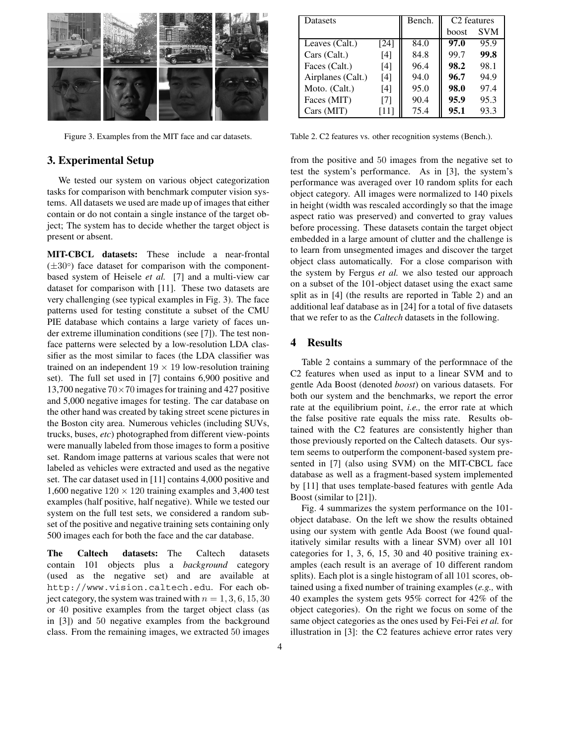

Figure 3. Examples from the MIT face and car datasets.

### **3. Experimental Setup**

We tested our system on various object categorization tasks for comparison with benchmark computer vision systems. All datasets we used are made up of images that either contain or do not contain a single instance of the target object; The system has to decide whether the target object is present or absent.

**MIT-CBCL datasets:** These include a near-frontal (*±*30◦) face dataset for comparison with the componentbased system of Heisele *et al.* [7] and a multi-view car dataset for comparison with [11]. These two datasets are very challenging (see typical examples in Fig. 3). The face patterns used for testing constitute a subset of the CMU PIE database which contains a large variety of faces under extreme illumination conditions (see [7]). The test nonface patterns were selected by a low-resolution LDA classifier as the most similar to faces (the LDA classifier was trained on an independent  $19 \times 19$  low-resolution training set). The full set used in [7] contains 6,900 positive and 13,700 negative 70*×*70 images for training and 427 positive and 5,000 negative images for testing. The car database on the other hand was created by taking street scene pictures in the Boston city area. Numerous vehicles (including SUVs, trucks, buses, *etc*) photographed from different view-points were manually labeled from those images to form a positive set. Random image patterns at various scales that were not labeled as vehicles were extracted and used as the negative set. The car dataset used in [11] contains 4,000 positive and 1,600 negative 120 *×* 120 training examples and 3,400 test examples (half positive, half negative). While we tested our system on the full test sets, we considered a random subset of the positive and negative training sets containing only 500 images each for both the face and the car database.

**The Caltech datasets:** The Caltech datasets contain 101 objects plus a *background* category (used as the negative set) and are available at http://www.vision.caltech.edu. For each object category, the system was trained with  $n = 1, 3, 6, 15, 30$ or 40 positive examples from the target object class (as in [3]) and 50 negative examples from the background class. From the remaining images, we extracted 50 images

| <b>Datasets</b>   | Bench. | C <sub>2</sub> features |       |            |
|-------------------|--------|-------------------------|-------|------------|
|                   |        |                         | boost | <b>SVM</b> |
| Leaves (Calt.)    | $[24]$ | 84.0                    | 97.0  | 95.9       |
| Cars (Calt.)      | [4]    | 84.8                    | 99.7  | 99.8       |
| Faces (Calt.)     | [4]    | 96.4                    | 98.2  | 98.1       |
| Airplanes (Calt.) | [4]    | 94.0                    | 96.7  | 94.9       |
| Moto. (Calt.)     | [4]    | 95.0                    | 98.0  | 97.4       |
| Faces (MIT)       | [7]    | 90.4                    | 95.9  | 95.3       |
| Cars (MIT)        | 11     | 75.4                    | 95.1  | 93.3       |

Table 2. C2 features vs. other recognition systems (Bench.).

from the positive and 50 images from the negative set to test the system's performance. As in [3], the system's performance was averaged over 10 random splits for each object category. All images were normalized to 140 pixels in height (width was rescaled accordingly so that the image aspect ratio was preserved) and converted to gray values before processing. These datasets contain the target object embedded in a large amount of clutter and the challenge is to learn from unsegmented images and discover the target object class automatically. For a close comparison with the system by Fergus *et al.* we also tested our approach on a subset of the 101-object dataset using the exact same split as in [4] (the results are reported in Table 2) and an additional leaf database as in [24] for a total of five datasets that we refer to as the *Caltech* datasets in the following.

#### **4 Results**

Table 2 contains a summary of the performnace of the C2 features when used as input to a linear SVM and to gentle Ada Boost (denoted *boost*) on various datasets. For both our system and the benchmarks, we report the error rate at the equilibrium point, *i.e.,* the error rate at which the false positive rate equals the miss rate. Results obtained with the C2 features are consistently higher than those previously reported on the Caltech datasets. Our system seems to outperform the component-based system presented in [7] (also using SVM) on the MIT-CBCL face database as well as a fragment-based system implemented by [11] that uses template-based features with gentle Ada Boost (similar to [21]).

Fig. 4 summarizes the system performance on the 101 object database. On the left we show the results obtained using our system with gentle Ada Boost (we found qualitatively similar results with a linear SVM) over all 101 categories for 1, 3, 6, 15, 30 and 40 positive training examples (each result is an average of 10 different random splits). Each plot is a single histogram of all 101 scores, obtained using a fixed number of training examples (*e.g.,* with 40 examples the system gets 95% correct for 42% of the object categories). On the right we focus on some of the same object categories as the ones used by Fei-Fei *et al.* for illustration in [3]: the C2 features achieve error rates very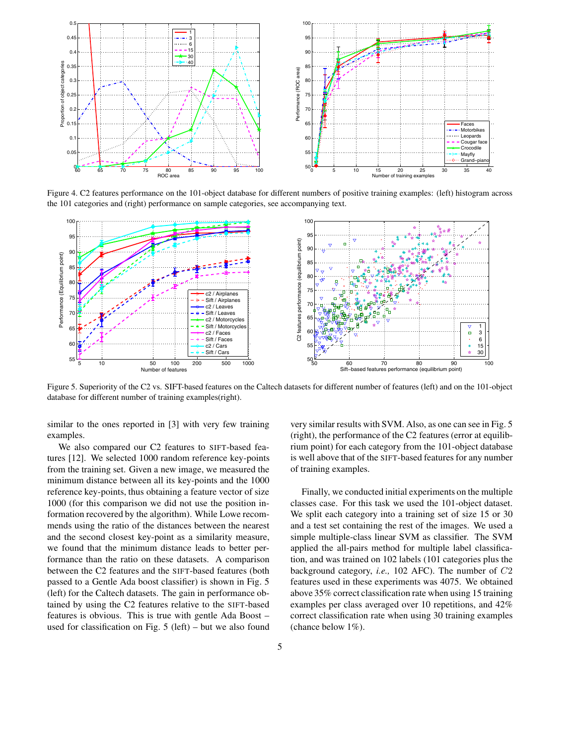

Figure 4. C2 features performance on the 101-object database for different numbers of positive training examples: (left) histogram across the 101 categories and (right) performance on sample categories, see accompanying text.



Figure 5. Superiority of the C2 vs. SIFT-based features on the Caltech datasets for different number of features (left) and on the 101-object database for different number of training examples(right).

similar to the ones reported in [3] with very few training examples.

We also compared our C2 features to SIFT-based features [12]. We selected 1000 random reference key-points from the training set. Given a new image, we measured the minimum distance between all its key-points and the 1000 reference key-points, thus obtaining a feature vector of size 1000 (for this comparison we did not use the position information recovered by the algorithm). While Lowe recommends using the ratio of the distances between the nearest and the second closest key-point as a similarity measure, we found that the minimum distance leads to better performance than the ratio on these datasets. A comparison between the C2 features and the SIFT-based features (both passed to a Gentle Ada boost classifier) is shown in Fig. 5 (left) for the Caltech datasets. The gain in performance obtained by using the C2 features relative to the SIFT-based features is obvious. This is true with gentle Ada Boost – used for classification on Fig. 5 (left) – but we also found

very similar results with SVM. Also, as one can see in Fig. 5 (right), the performance of the C2 features (error at equilibrium point) for each category from the 101-object database is well above that of the SIFT-based features for any number of training examples.

Finally, we conducted initial experiments on the multiple classes case. For this task we used the 101-object dataset. We split each category into a training set of size 15 or 30 and a test set containing the rest of the images. We used a simple multiple-class linear SVM as classifier. The SVM applied the all-pairs method for multiple label classification, and was trained on 102 labels (101 categories plus the background category, *i.e.,* 102 AFC). The number of C2 features used in these experiments was 4075. We obtained above 35% correct classification rate when using 15 training examples per class averaged over 10 repetitions, and 42% correct classification rate when using 30 training examples (chance below 1%).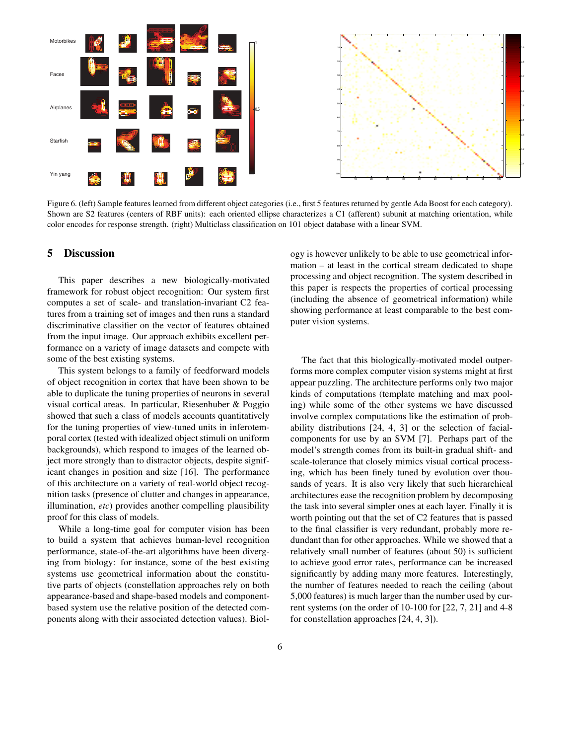

Figure 6. (left) Sample features learned from different object categories (i.e., first 5 features returned by gentle Ada Boost for each category). Shown are S2 features (centers of RBF units): each oriented ellipse characterizes a C1 (afferent) subunit at matching orientation, while color encodes for response strength. (right) Multiclass classification on 101 object database with a linear SVM.

# **5 Discussion**

This paper describes a new biologically-motivated framework for robust object recognition: Our system first computes a set of scale- and translation-invariant C2 features from a training set of images and then runs a standard discriminative classifier on the vector of features obtained from the input image. Our approach exhibits excellent performance on a variety of image datasets and compete with some of the best existing systems.

This system belongs to a family of feedforward models of object recognition in cortex that have been shown to be able to duplicate the tuning properties of neurons in several visual cortical areas. In particular, Riesenhuber & Poggio showed that such a class of models accounts quantitatively for the tuning properties of view-tuned units in inferotemporal cortex (tested with idealized object stimuli on uniform backgrounds), which respond to images of the learned object more strongly than to distractor objects, despite significant changes in position and size [16]. The performance of this architecture on a variety of real-world object recognition tasks (presence of clutter and changes in appearance, illumination, *etc*) provides another compelling plausibility proof for this class of models.

While a long-time goal for computer vision has been to build a system that achieves human-level recognition performance, state-of-the-art algorithms have been diverging from biology: for instance, some of the best existing systems use geometrical information about the constitutive parts of objects (constellation approaches rely on both appearance-based and shape-based models and componentbased system use the relative position of the detected components along with their associated detection values). Biology is however unlikely to be able to use geometrical information – at least in the cortical stream dedicated to shape processing and object recognition. The system described in this paper is respects the properties of cortical processing (including the absence of geometrical information) while showing performance at least comparable to the best computer vision systems.

The fact that this biologically-motivated model outperforms more complex computer vision systems might at first appear puzzling. The architecture performs only two major kinds of computations (template matching and max pooling) while some of the other systems we have discussed involve complex computations like the estimation of probability distributions [24, 4, 3] or the selection of facialcomponents for use by an SVM [7]. Perhaps part of the model's strength comes from its built-in gradual shift- and scale-tolerance that closely mimics visual cortical processing, which has been finely tuned by evolution over thousands of years. It is also very likely that such hierarchical architectures ease the recognition problem by decomposing the task into several simpler ones at each layer. Finally it is worth pointing out that the set of C2 features that is passed to the final classifier is very redundant, probably more redundant than for other approaches. While we showed that a relatively small number of features (about 50) is sufficient to achieve good error rates, performance can be increased significantly by adding many more features. Interestingly, the number of features needed to reach the ceiling (about 5,000 features) is much larger than the number used by current systems (on the order of 10-100 for [22, 7, 21] and 4-8 for constellation approaches [24, 4, 3]).